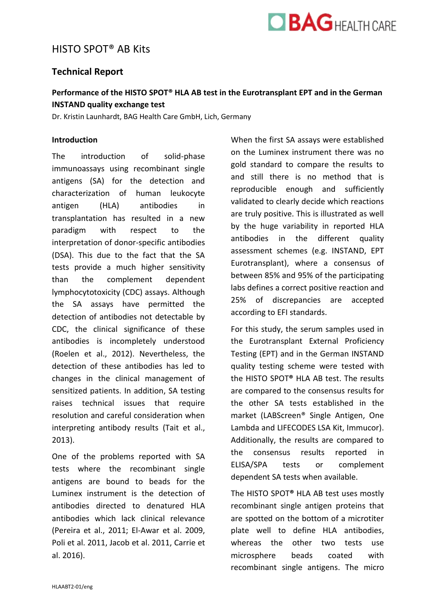

# HISTO SPOT® AB Kits

## **Technical Report**

# **Performance of the HISTO SPOT® HLA AB test in the Eurotransplant EPT and in the German INSTAND quality exchange test**

Dr. Kristin Launhardt, BAG Health Care GmbH, Lich, Germany

#### **Introduction**

The introduction of solid-phase immunoassays using recombinant single antigens (SA) for the detection and characterization of human leukocyte antigen (HLA) antibodies in transplantation has resulted in a new paradigm with respect to the interpretation of donor-specific antibodies (DSA). This due to the fact that the SA tests provide a much higher sensitivity than the complement dependent lymphocytotoxicity (CDC) assays. Although the SA assays have permitted the detection of antibodies not detectable by CDC, the clinical significance of these antibodies is incompletely understood (Roelen et al., 2012). Nevertheless, the detection of these antibodies has led to changes in the clinical management of sensitized patients. In addition, SA testing raises technical issues that require resolution and careful consideration when interpreting antibody results (Tait et al., 2013).

One of the problems reported with SA tests where the recombinant single antigens are bound to beads for the Luminex instrument is the detection of antibodies directed to denatured HLA antibodies which lack clinical relevance (Pereira et al., 2011; El-Awar et al. 2009, Poli et al. 2011, Jacob et al. 2011, Carrie et al. 2016).

When the first SA assays were established on the Luminex instrument there was no gold standard to compare the results to and still there is no method that is reproducible enough and sufficiently validated to clearly decide which reactions are truly positive. This is illustrated as well by the huge variability in reported HLA antibodies in the different quality assessment schemes (e.g. INSTAND, EPT Eurotransplant), where a consensus of between 85% and 95% of the participating labs defines a correct positive reaction and 25% of discrepancies are accepted according to EFI standards.

For this study, the serum samples used in the Eurotransplant External Proficiency Testing (EPT) and in the German INSTAND quality testing scheme were tested with the HISTO SPOT**®** HLA AB test. The results are compared to the consensus results for the other SA tests established in the market (LABScreen® Single Antigen, One Lambda and LIFECODES LSA Kit, Immucor). Additionally, the results are compared to the consensus results reported in ELISA/SPA tests or complement dependent SA tests when available.

The HISTO SPOT**®** HLA AB test uses mostly recombinant single antigen proteins that are spotted on the bottom of a microtiter plate well to define HLA antibodies, whereas the other two tests use microsphere beads coated with recombinant single antigens. The micro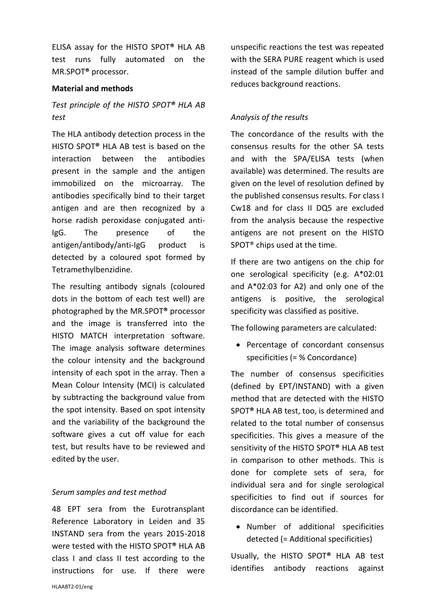ELISA assay for the HISTO SPOT**®** HLA AB test runs fully automated on the MR.SPOT**®** processor.

### **Material and methods**

# *Test principle of the HISTO SPOT® HLA AB test*

The HLA antibody detection process in the HISTO SPOT**®** HLA AB test is based on the interaction between the antibodies present in the sample and the antigen immobilized on the microarray. The antibodies specifically bind to their target antigen and are then recognized by a horse radish peroxidase conjugated anti-IgG. The presence of the antigen/antibody/anti-IgG product is detected by a coloured spot formed by Tetramethylbenzidine.

The resulting antibody signals (coloured dots in the bottom of each test well) are photographed by the MR.SPOT**®** processor and the image is transferred into the HISTO MATCH interpretation software. The image analysis software determines the colour intensity and the background intensity of each spot in the array. Then a Mean Colour Intensity (MCI) is calculated by subtracting the background value from the spot intensity. Based on spot intensity and the variability of the background the software gives a cut off value for each test, but results have to be reviewed and edited by the user.

## *Serum samples and test method*

48 EPT sera from the Eurotransplant Reference Laboratory in Leiden and 35 INSTAND sera from the years 2015-2018 were tested with the HISTO SPOT**®** HLA AB class I and class II test according to the instructions for use. If there were unspecific reactions the test was repeated with the SERA PURE reagent which is used instead of the sample dilution buffer and reduces background reactions.

## *Analysis of the results*

The concordance of the results with the consensus results for the other SA tests and with the SPA/ELISA tests (when available) was determined. The results are given on the level of resolution defined by the published consensus results. For class I Cw18 and for class II DQ5 are excluded from the analysis because the respective antigens are not present on the HISTO SPOT® chips used at the time.

If there are two antigens on the chip for one serological specificity (e.g. A\*02:01 and A\*02:03 for A2) and only one of the antigens is positive, the serological specificity was classified as positive.

The following parameters are calculated:

• Percentage of concordant consensus specificities (= % Concordance)

The number of consensus specificities (defined by EPT/INSTAND) with a given method that are detected with the HISTO SPOT**®** HLA AB test, too, is determined and related to the total number of consensus specificities. This gives a measure of the sensitivity of the HISTO SPOT**®** HLA AB test in comparison to other methods. This is done for complete sets of sera, for individual sera and for single serological specificities to find out if sources for discordance can be identified.

 Number of additional specificities detected (= Additional specificities)

Usually, the HISTO SPOT**®** HLA AB test identifies antibody reactions against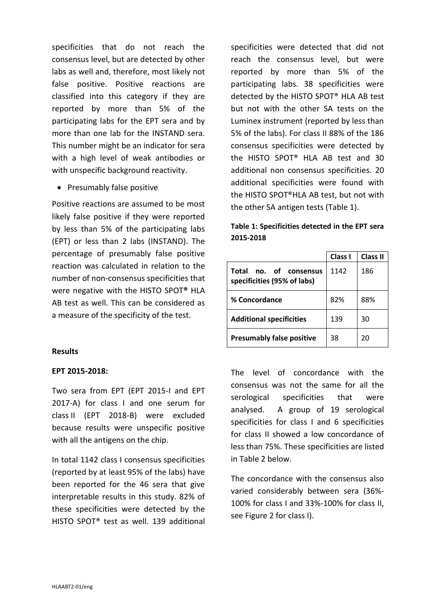specificities that do not reach the consensus level, but are detected by other labs as well and, therefore, most likely not false positive. Positive reactions are classified into this category if they are reported by more than 5% of the participating labs for the EPT sera and by more than one lab for the INSTAND sera. This number might be an indicator for sera with a high level of weak antibodies or with unspecific background reactivity.

• Presumably false positive

Positive reactions are assumed to be most likely false positive if they were reported by less than 5% of the participating labs (EPT) or less than 2 labs (INSTAND). The percentage of presumably false positive reaction was calculated in relation to the number of non-consensus specificities that were negative with the HISTO SPOT**®** HLA AB test as well. This can be considered as a measure of the specificity of the test.

#### **Results**

## **EPT 2015-2018:**

Two sera from EPT (EPT 2015-I and EPT 2017-A) for class I and one serum for class II (EPT 2018-B) were excluded because results were unspecific positive with all the antigens on the chip.

In total 1142 class I consensus specificities (reported by at least 95% of the labs) have been reported for the 46 sera that give interpretable results in this study. 82% of these specificities were detected by the HISTO SPOT® test as well. 139 additional specificities were detected that did not reach the consensus level, but were reported by more than 5% of the participating labs. 38 specificities were detected by the HISTO SPOT® HLA AB test but not with the other SA tests on the Luminex instrument (reported by less than 5% of the labs). For class II 88% of the 186 consensus specificities were detected by the HISTO SPOT® HLA AB test and 30 additional non consensus specificities. 20 additional specificities were found with the HISTO SPOT®HLA AB test, but not with the other SA antigen tests (Table 1).

| Table 1: Specificities detected in the EPT sera |  |  |
|-------------------------------------------------|--|--|
| 2015-2018                                       |  |  |

|                                                          | Class I | <b>Class II</b> |
|----------------------------------------------------------|---------|-----------------|
| no. of consensus<br>Total<br>specificities (95% of labs) | 1142    | 186             |
| % Concordance                                            | 82%     | 88%             |
| <b>Additional specificities</b>                          | 139     | 30              |
| <b>Presumably false positive</b>                         | 38      | 20              |

The level of concordance with the consensus was not the same for all the serological specificities that were analysed. A group of 19 serological specificities for class I and 6 specificities for class II showed a low concordance of less than 75%. These specificities are listed in Table 2 below.

The concordance with the consensus also varied considerably between sera (36%- 100% for class I and 33%-100% for class II, see Figure 2 for class I).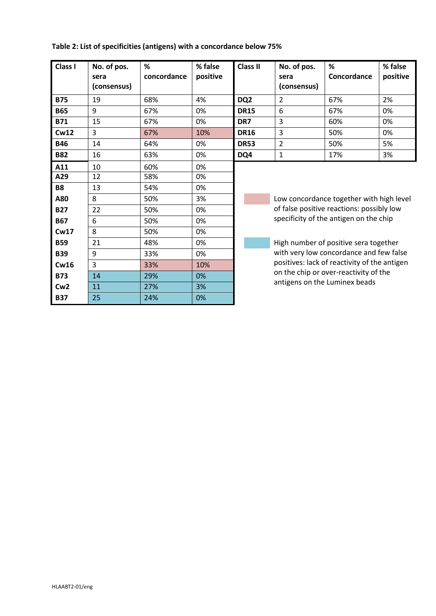### **Table 2: List of specificities (antigens) with a concordance below 75%**

**Cw16** 3 33% 10% **B73** 14 29% 0% **Cw2** 11 27% 3% **B37** 25 24% 0%

| Class I    | No. of pos.<br>sera<br>(consensus) | %<br>concordance | % false<br>positive | <b>Class II</b> | No. of pos.<br>sera<br>(consensus)                                                                                              | %<br>Concordance                      | % false<br>positive |  |
|------------|------------------------------------|------------------|---------------------|-----------------|---------------------------------------------------------------------------------------------------------------------------------|---------------------------------------|---------------------|--|
| <b>B75</b> | 19                                 | 68%              | 4%                  | DQ <sub>2</sub> | 2                                                                                                                               | 67%                                   | 2%                  |  |
| <b>B65</b> | 9                                  | 67%              | 0%                  | <b>DR15</b>     | 6                                                                                                                               | 67%                                   | 0%                  |  |
| <b>B71</b> | 15                                 | 67%              | 0%                  | DR7             | 3                                                                                                                               | 60%                                   | 0%                  |  |
| Cw12       | 3                                  | 67%              | 10%                 | <b>DR16</b>     | 3                                                                                                                               | 50%                                   | 0%                  |  |
| <b>B46</b> | 14                                 | 64%              | 0%                  | <b>DR53</b>     | $\overline{2}$                                                                                                                  | 50%                                   | 5%                  |  |
| <b>B82</b> | 16                                 | 63%              | 0%                  | DQ4             | $\mathbf{1}$                                                                                                                    | 17%                                   | 3%                  |  |
| A11        | 10                                 | 60%              | 0%                  |                 |                                                                                                                                 |                                       |                     |  |
| A29        | 12                                 | 58%              | 0%                  |                 |                                                                                                                                 |                                       |                     |  |
| <b>B8</b>  | 13                                 | 54%              | 0%                  |                 |                                                                                                                                 |                                       |                     |  |
| A80        | 8                                  | 50%              | 3%                  |                 | Low concordance together with high level<br>of false positive reactions: possibly low<br>specificity of the antigen on the chip |                                       |                     |  |
| <b>B27</b> | 22                                 | 50%              | 0%                  |                 |                                                                                                                                 |                                       |                     |  |
| <b>B67</b> | 6                                  | 50%              | 0%                  |                 |                                                                                                                                 |                                       |                     |  |
| Cw17       | 8                                  | 50%              | 0%                  |                 |                                                                                                                                 |                                       |                     |  |
| <b>B59</b> | 21                                 | 48%              | 0%                  |                 |                                                                                                                                 | High number of positive sera together |                     |  |
| <b>B39</b> | 9                                  | 33%              | 0%                  |                 | with very low concordance and few false<br>positives: lack of reactivity of the antigen                                         |                                       |                     |  |
| Cw16       | ς                                  | 33%              | 10%                 |                 |                                                                                                                                 |                                       |                     |  |

on the chip or over-reactivity of the antigens on the Luminex beads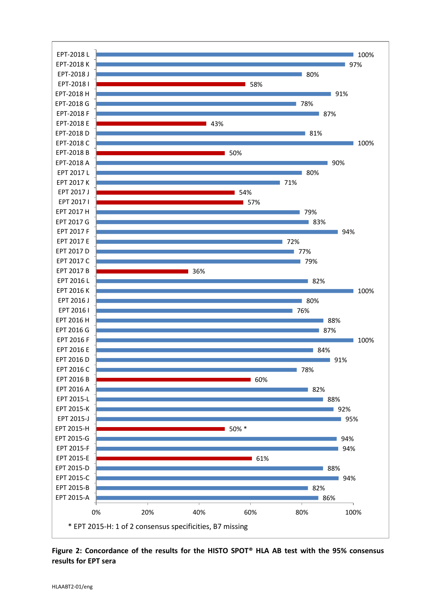

**Figure 2: Concordance of the results for the HISTO SPOT® HLA AB test with the 95% consensus results for EPT sera**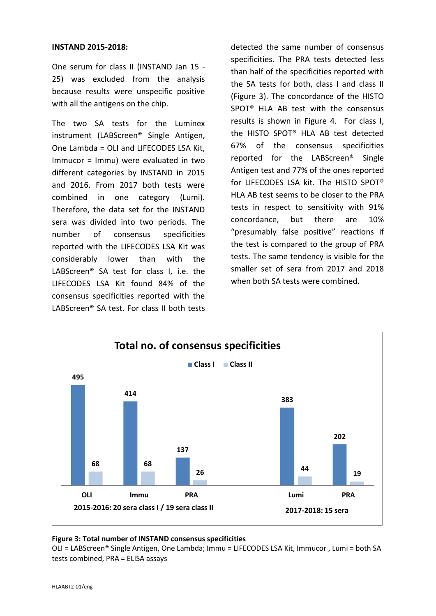#### **INSTAND 2015-2018:**

One serum for class II (INSTAND Jan 15 - 25) was excluded from the analysis because results were unspecific positive with all the antigens on the chip.

The two SA tests for the Luminex instrument (LABScreen® Single Antigen, One Lambda = OLI and LIFECODES LSA Kit, Immucor = Immu) were evaluated in two different categories by INSTAND in 2015 and 2016. From 2017 both tests were combined in one category (Lumi). Therefore, the data set for the INSTAND sera was divided into two periods. The number of consensus specificities reported with the LIFECODES LSA Kit was considerably lower than with the LABScreen® SA test for class I, i.e. the LIFECODES LSA Kit found 84% of the consensus specificities reported with the LABScreen® SA test. For class II both tests detected the same number of consensus specificities. The PRA tests detected less than half of the specificities reported with the SA tests for both, class I and class II (Figure 3). The concordance of the HISTO SPOT® HLA AB test with the consensus results is shown in Figure 4. For class I, the HISTO SPOT® HLA AB test detected 67% of the consensus specificities reported for the LABScreen® Single Antigen test and 77% of the ones reported for LIFECODES LSA kit. The HISTO SPOT® HLA AB test seems to be closer to the PRA tests in respect to sensitivity with 91% concordance, but there are 10% "presumably false positive" reactions if the test is compared to the group of PRA tests. The same tendency is visible for the smaller set of sera from 2017 and 2018 when both SA tests were combined.



#### **Figure 3: Total number of INSTAND consensus specificities**

OLI = LABScreen® Single Antigen, One Lambda; Immu = LIFECODES LSA Kit, Immucor , Lumi = both SA tests combined, PRA = ELISA assays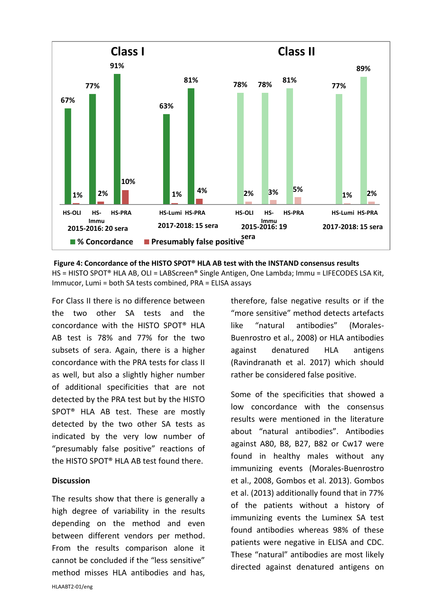

**Figure 4: Concordance of the HISTO SPOT® HLA AB test with the INSTAND consensus results** HS = HISTO SPOT® HLA AB, OLI = LABScreen® Single Antigen, One Lambda; Immu = LIFECODES LSA Kit, Immucor, Lumi = both SA tests combined, PRA = ELISA assays

For Class II there is no difference between the two other SA tests and the concordance with the HISTO SPOT® HLA AB test is 78% and 77% for the two subsets of sera. Again, there is a higher concordance with the PRA tests for class II as well, but also a slightly higher number of additional specificities that are not detected by the PRA test but by the HISTO SPOT® HLA AB test. These are mostly detected by the two other SA tests as indicated by the very low number of "presumably false positive" reactions of the HISTO SPOT® HLA AB test found there.

#### **Discussion**

The results show that there is generally a high degree of variability in the results depending on the method and even between different vendors per method. From the results comparison alone it cannot be concluded if the "less sensitive" method misses HLA antibodies and has, therefore, false negative results or if the "more sensitive" method detects artefacts like "natural antibodies" (Morales-Buenrostro et al., 2008) or HLA antibodies against denatured HLA antigens (Ravindranath et al. 2017) which should rather be considered false positive.

Some of the specificities that showed a low concordance with the consensus results were mentioned in the literature about "natural antibodies". Antibodies against A80, B8, B27, B82 or Cw17 were found in healthy males without any immunizing events (Morales-Buenrostro et al., 2008, Gombos et al. 2013). Gombos et al. (2013) additionally found that in 77% of the patients without a history of immunizing events the Luminex SA test found antibodies whereas 98% of these patients were negative in ELISA and CDC. These "natural" antibodies are most likely directed against denatured antigens on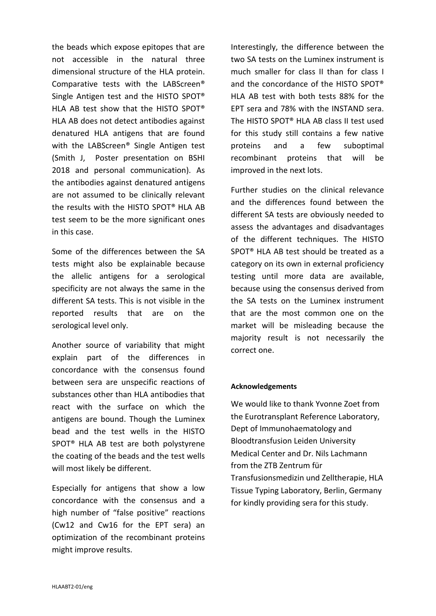the beads which expose epitopes that are not accessible in the natural three dimensional structure of the HLA protein. Comparative tests with the LABScreen® Single Antigen test and the HISTO SPOT® HLA AB test show that the HISTO SPOT® HLA AB does not detect antibodies against denatured HLA antigens that are found with the LABScreen® Single Antigen test (Smith J, Poster presentation on BSHI 2018 and personal communication). As the antibodies against denatured antigens are not assumed to be clinically relevant the results with the HISTO SPOT® HLA AB test seem to be the more significant ones in this case.

Some of the differences between the SA tests might also be explainable because the allelic antigens for a serological specificity are not always the same in the different SA tests. This is not visible in the reported results that are on the serological level only.

Another source of variability that might explain part of the differences in concordance with the consensus found between sera are unspecific reactions of substances other than HLA antibodies that react with the surface on which the antigens are bound. Though the Luminex bead and the test wells in the HISTO SPOT® HLA AB test are both polystyrene the coating of the beads and the test wells will most likely be different.

Especially for antigens that show a low concordance with the consensus and a high number of "false positive" reactions (Cw12 and Cw16 for the EPT sera) an optimization of the recombinant proteins might improve results.

Interestingly, the difference between the two SA tests on the Luminex instrument is much smaller for class II than for class I and the concordance of the HISTO SPOT® HLA AB test with both tests 88% for the EPT sera and 78% with the INSTAND sera. The HISTO SPOT® HLA AB class II test used for this study still contains a few native proteins and a few suboptimal recombinant proteins that will be improved in the next lots.

Further studies on the clinical relevance and the differences found between the different SA tests are obviously needed to assess the advantages and disadvantages of the different techniques. The HISTO SPOT® HLA AB test should be treated as a category on its own in external proficiency testing until more data are available, because using the consensus derived from the SA tests on the Luminex instrument that are the most common one on the market will be misleading because the majority result is not necessarily the correct one.

#### **Acknowledgements**

We would like to thank Yvonne Zoet from the Eurotransplant Reference Laboratory, Dept of Immunohaematology and Bloodtransfusion Leiden University Medical Center and Dr. Nils Lachmann from the ZTB Zentrum für Transfusionsmedizin und Zelltherapie, HLA Tissue Typing Laboratory, Berlin, Germany for kindly providing sera for this study.